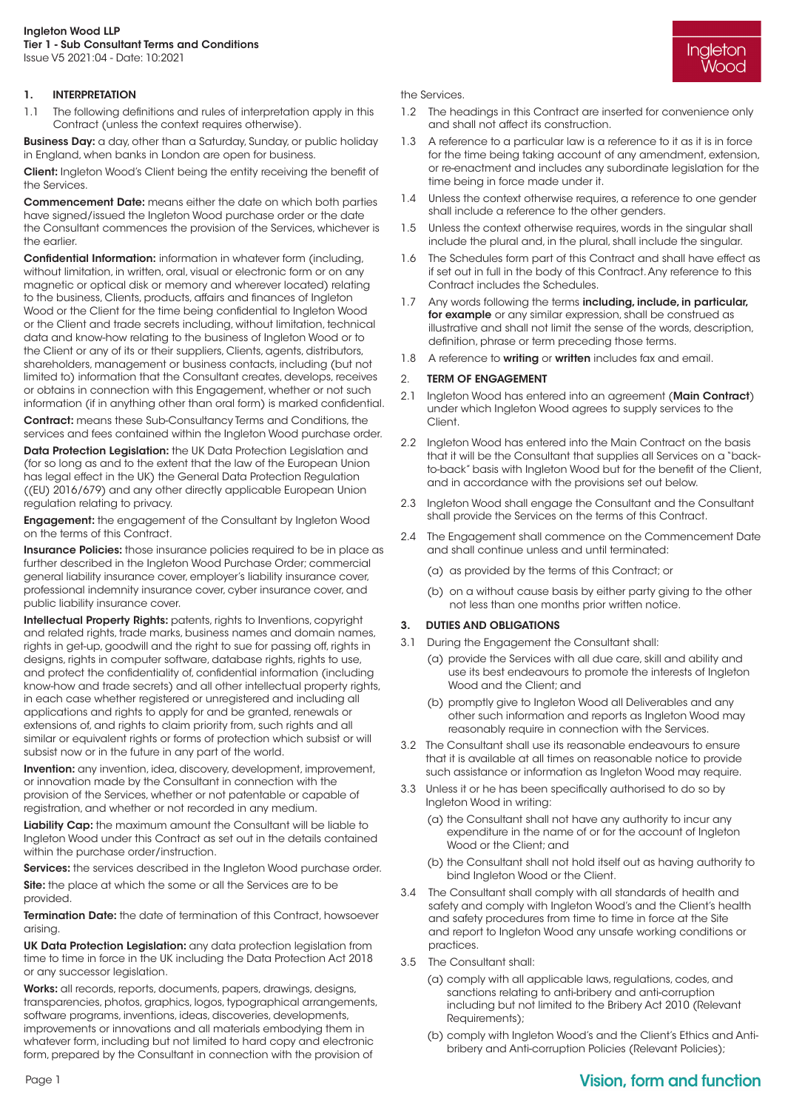#### Ingleton Wood LLP Tier 1 - Sub Consultant Terms and Conditions Issue V5 2021:04 - Date: 10:2021

## 1. INTERPRETATION

1.1 The following definitions and rules of interpretation apply in this Contract (unless the context requires otherwise).

**Business Day:** a day, other than a Saturday, Sunday, or public holiday in England, when banks in London are open for business.

Client: Ingleton Wood's Client being the entity receiving the benefit of the Services.

Commencement Date: means either the date on which both parties have signed/issued the Ingleton Wood purchase order or the date the Consultant commences the provision of the Services, whichever is the earlier.

Confidential Information: information in whatever form (including, without limitation, in written, oral, visual or electronic form or on any magnetic or optical disk or memory and wherever located) relating to the business, Clients, products, affairs and finances of Ingleton Wood or the Client for the time being confidential to Ingleton Wood or the Client and trade secrets including, without limitation, technical data and know-how relating to the business of Ingleton Wood or to the Client or any of its or their suppliers, Clients, agents, distributors, shareholders, management or business contacts, including (but not limited to) information that the Consultant creates, develops, receives or obtains in connection with this Engagement, whether or not such information (if in anything other than oral form) is marked confidential.

Contract: means these Sub-Consultancy Terms and Conditions, the services and fees contained within the Ingleton Wood purchase order.

Data Protection Legislation: the UK Data Protection Legislation and (for so long as and to the extent that the law of the European Union has legal effect in the UK) the General Data Protection Regulation ((EU) 2016/679) and any other directly applicable European Union regulation relating to privacy.

**Engagement:** the engagement of the Consultant by Ingleton Wood on the terms of this Contract.

Insurance Policies: those insurance policies required to be in place as further described in the Ingleton Wood Purchase Order; commercial general liability insurance cover, employer's liability insurance cover, professional indemnity insurance cover, cyber insurance cover, and public liability insurance cover.

Intellectual Property Rights: patents, rights to Inventions, copyright and related rights, trade marks, business names and domain names, rights in get-up, goodwill and the right to sue for passing off, rights in designs, rights in computer software, database rights, rights to use, and protect the confidentiality of, confidential information (including know-how and trade secrets) and all other intellectual property rights, in each case whether registered or unregistered and including all applications and rights to apply for and be granted, renewals or extensions of, and rights to claim priority from, such rights and all similar or equivalent rights or forms of protection which subsist or will subsist now or in the future in any part of the world.

Invention: any invention, idea, discovery, development, improvement, or innovation made by the Consultant in connection with the provision of the Services, whether or not patentable or capable of registration, and whether or not recorded in any medium.

Liability Cap: the maximum amount the Consultant will be liable to Ingleton Wood under this Contract as set out in the details contained within the purchase order/instruction.

Services: the services described in the Ingleton Wood purchase order.

Site: the place at which the some or all the Services are to be provided.

Termination Date: the date of termination of this Contract, howsoever arising.

UK Data Protection Legislation: any data protection legislation from time to time in force in the UK including the Data Protection Act 2018 or any successor legislation.

Works: all records, reports, documents, papers, drawings, designs, transparencies, photos, graphics, logos, typographical arrangements, software programs, inventions, ideas, discoveries, developments, improvements or innovations and all materials embodying them in whatever form, including but not limited to hard copy and electronic form, prepared by the Consultant in connection with the provision of

the Services.

1.2 The headings in this Contract are inserted for convenience only and shall not affect its construction.

Ingleton Wood

- 1.3 A reference to a particular law is a reference to it as it is in force for the time being taking account of any amendment, extension, or re-enactment and includes any subordinate legislation for the time being in force made under it.
- 1.4 Unless the context otherwise requires, a reference to one gender shall include a reference to the other genders.
- 1.5 Unless the context otherwise requires, words in the singular shall include the plural and, in the plural, shall include the singular.
- 1.6 The Schedules form part of this Contract and shall have effect as if set out in full in the body of this Contract. Any reference to this Contract includes the Schedules.
- 1.7 Any words following the terms including, include, in particular, for example or any similar expression, shall be construed as illustrative and shall not limit the sense of the words, description, definition, phrase or term preceding those terms.
- 1.8 A reference to writing or written includes fax and email.

#### 2. TERM OF ENGAGEMENT

- 2.1 Ingleton Wood has entered into an agreement (Main Contract) under which Ingleton Wood agrees to supply services to the Client.
- 2.2 Ingleton Wood has entered into the Main Contract on the basis that it will be the Consultant that supplies all Services on a "backto-back" basis with Ingleton Wood but for the benefit of the Client, and in accordance with the provisions set out below.
- 2.3 Ingleton Wood shall engage the Consultant and the Consultant shall provide the Services on the terms of this Contract.
- 2.4 The Engagement shall commence on the Commencement Date and shall continue unless and until terminated:
	- (a) as provided by the terms of this Contract; or
	- (b) on a without cause basis by either party giving to the other not less than one months prior written notice.

### 3. DUTIES AND OBLIGATIONS

- 3.1 During the Engagement the Consultant shall:
	- (a) provide the Services with all due care, skill and ability and use its best endeavours to promote the interests of Ingleton Wood and the Client; and
	- (b) promptly give to Ingleton Wood all Deliverables and any other such information and reports as Ingleton Wood may reasonably require in connection with the Services.
- 3.2 The Consultant shall use its reasonable endeavours to ensure that it is available at all times on reasonable notice to provide such assistance or information as Ingleton Wood may require.
- 3.3 Unless it or he has been specifically authorised to do so by Ingleton Wood in writing:
	- (a) the Consultant shall not have any authority to incur any expenditure in the name of or for the account of Ingleton Wood or the Client; and
	- (b) the Consultant shall not hold itself out as having authority to bind Ingleton Wood or the Client.
- 3.4 The Consultant shall comply with all standards of health and safety and comply with Ingleton Wood's and the Client's health and safety procedures from time to time in force at the Site and report to Ingleton Wood any unsafe working conditions or practices.
- 3.5 The Consultant shall:
	- (a) comply with all applicable laws, regulations, codes, and sanctions relating to anti-bribery and anti-corruption including but not limited to the Bribery Act 2010 (Relevant Requirements);
	- (b) comply with Ingleton Wood's and the Client's Ethics and Antibribery and Anti-corruption Policies (Relevant Policies);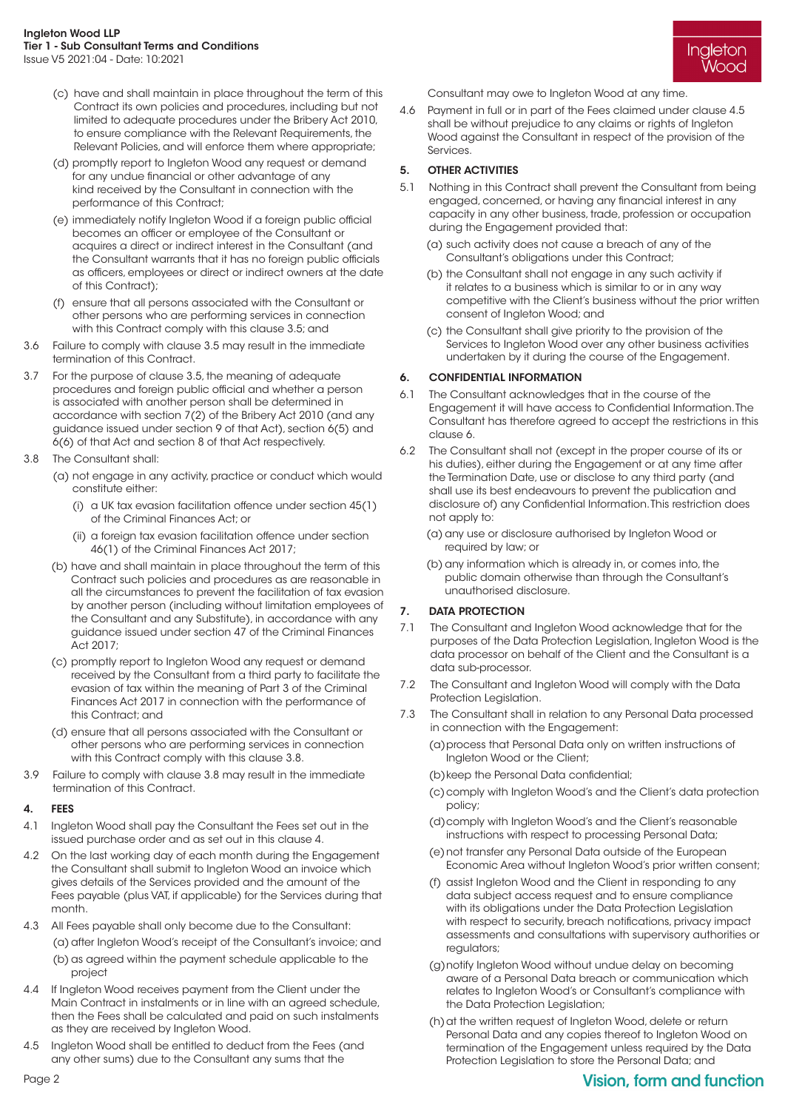- (c) have and shall maintain in place throughout the term of this Contract its own policies and procedures, including but not limited to adequate procedures under the Bribery Act 2010, to ensure compliance with the Relevant Requirements, the Relevant Policies, and will enforce them where appropriate;
- (d) promptly report to Ingleton Wood any request or demand for any undue financial or other advantage of any kind received by the Consultant in connection with the performance of this Contract;
- (e) immediately notify Ingleton Wood if a foreign public official becomes an officer or employee of the Consultant or acquires a direct or indirect interest in the Consultant (and the Consultant warrants that it has no foreign public officials as officers, employees or direct or indirect owners at the date of this Contract);
- (f) ensure that all persons associated with the Consultant or other persons who are performing services in connection with this Contract comply with this clause 3.5; and
- 3.6 Failure to comply with clause 3.5 may result in the immediate termination of this Contract.
- 3.7 For the purpose of clause 3.5, the meaning of adequate procedures and foreign public official and whether a person is associated with another person shall be determined in accordance with section 7(2) of the Bribery Act 2010 (and any guidance issued under section 9 of that Act), section 6(5) and 6(6) of that Act and section 8 of that Act respectively.
- 3.8 The Consultant shall:
	- (a) not engage in any activity, practice or conduct which would constitute either:
		- (i) a UK tax evasion facilitation offence under section 45(1) of the Criminal Finances Act; or
		- (ii) a foreign tax evasion facilitation offence under section 46(1) of the Criminal Finances Act 2017;
	- (b) have and shall maintain in place throughout the term of this Contract such policies and procedures as are reasonable in all the circumstances to prevent the facilitation of tax evasion by another person (including without limitation employees of the Consultant and any Substitute), in accordance with any guidance issued under section 47 of the Criminal Finances Act 2017;
	- (c) promptly report to Ingleton Wood any request or demand received by the Consultant from a third party to facilitate the evasion of tax within the meaning of Part 3 of the Criminal Finances Act 2017 in connection with the performance of this Contract; and
	- (d) ensure that all persons associated with the Consultant or other persons who are performing services in connection with this Contract comply with this clause 3.8.
- 3.9 Failure to comply with clause 3.8 may result in the immediate termination of this Contract.

### 4. FEES

- 4.1 Ingleton Wood shall pay the Consultant the Fees set out in the issued purchase order and as set out in this clause 4.
- 4.2 On the last working day of each month during the Engagement the Consultant shall submit to Ingleton Wood an invoice which gives details of the Services provided and the amount of the Fees payable (plus VAT, if applicable) for the Services during that month.
- 4.3 All Fees payable shall only become due to the Consultant: (a) after Ingleton Wood's receipt of the Consultant's invoice; and (b) as agreed within the payment schedule applicable to the project
- 4.4 If Ingleton Wood receives payment from the Client under the Main Contract in instalments or in line with an agreed schedule, then the Fees shall be calculated and paid on such instalments as they are received by Ingleton Wood.
- 4.5 Ingleton Wood shall be entitled to deduct from the Fees (and any other sums) due to the Consultant any sums that the

Consultant may owe to Ingleton Wood at any time.

4.6 Payment in full or in part of the Fees claimed under clause 4.5 shall be without prejudice to any claims or rights of Ingleton Wood against the Consultant in respect of the provision of the Services.

Ingleton Wood

## 5. OTHER ACTIVITIES

- 5.1 Nothing in this Contract shall prevent the Consultant from being engaged, concerned, or having any financial interest in any capacity in any other business, trade, profession or occupation during the Engagement provided that:
	- (a) such activity does not cause a breach of any of the Consultant's obligations under this Contract;
	- (b) the Consultant shall not engage in any such activity if it relates to a business which is similar to or in any way competitive with the Client's business without the prior written consent of Ingleton Wood; and
	- (c) the Consultant shall give priority to the provision of the Services to Ingleton Wood over any other business activities undertaken by it during the course of the Engagement.

## 6. CONFIDENTIAL INFORMATION

- 6.1 The Consultant acknowledges that in the course of the Engagement it will have access to Confidential Information. The Consultant has therefore agreed to accept the restrictions in this clause 6.
- 6.2 The Consultant shall not (except in the proper course of its or his duties), either during the Engagement or at any time after the Termination Date, use or disclose to any third party (and shall use its best endeavours to prevent the publication and disclosure of) any Confidential Information. This restriction does not apply to:
	- (a) any use or disclosure authorised by Ingleton Wood or required by law; or
	- (b) any information which is already in, or comes into, the public domain otherwise than through the Consultant's unauthorised disclosure.

### 7. DATA PROTECTION

- 7.1 The Consultant and Ingleton Wood acknowledge that for the purposes of the Data Protection Legislation, Ingleton Wood is the data processor on behalf of the Client and the Consultant is a data sub-processor.
- 7.2 The Consultant and Ingleton Wood will comply with the Data Protection Legislation.
- 7.3 The Consultant shall in relation to any Personal Data processed in connection with the Engagement:
	- (a) process that Personal Data only on written instructions of Ingleton Wood or the Client;

(b) keep the Personal Data confidential;

- (c) comply with Ingleton Wood's and the Client's data protection policy;
- (d) comply with Ingleton Wood's and the Client's reasonable instructions with respect to processing Personal Data;
- (e) not transfer any Personal Data outside of the European Economic Area without Ingleton Wood's prior written consent;
- (f) assist Ingleton Wood and the Client in responding to any data subject access request and to ensure compliance with its obligations under the Data Protection Legislation with respect to security, breach notifications, privacy impact assessments and consultations with supervisory authorities or regulators;
- (g) notify Ingleton Wood without undue delay on becoming aware of a Personal Data breach or communication which relates to Ingleton Wood's or Consultant's compliance with the Data Protection Legislation;
- (h) at the written request of Ingleton Wood, delete or return Personal Data and any copies thereof to Ingleton Wood on termination of the Engagement unless required by the Data Protection Legislation to store the Personal Data; and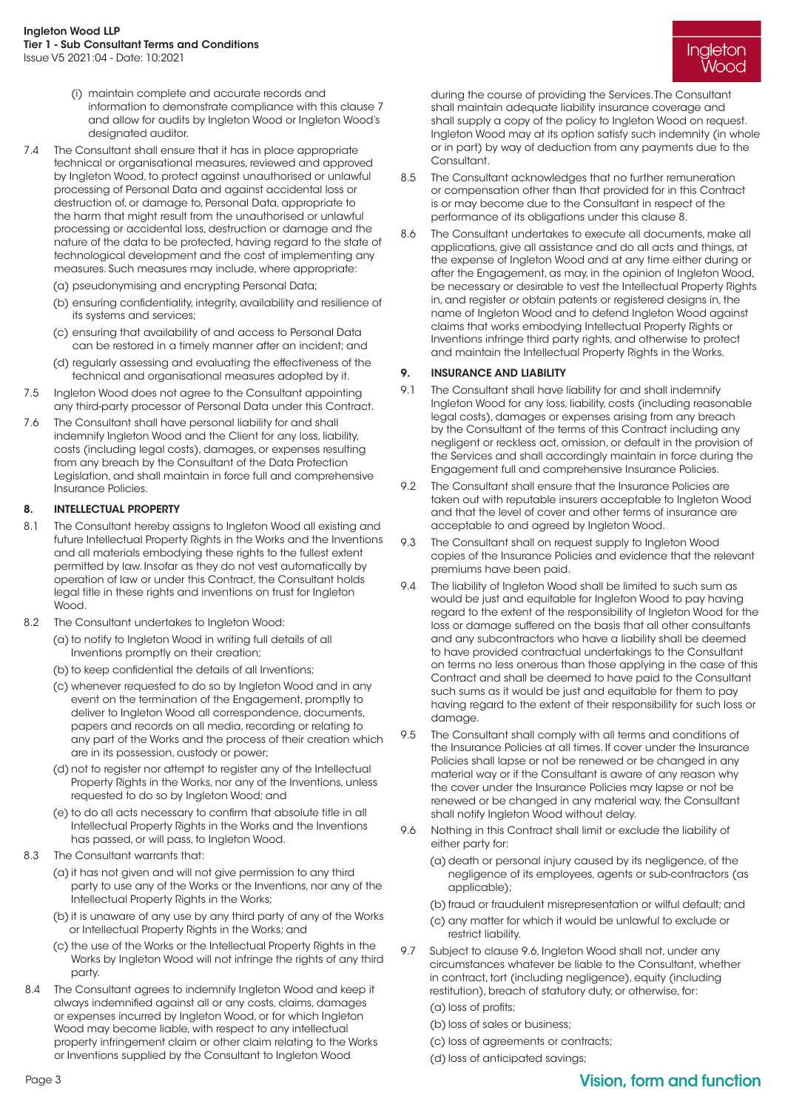- (i) maintain complete and accurate records and information to demonstrate compliance with this clause 7 and allow for audits by Ingleton Wood or Ingleton Wood's designated auditor.
- 7.4 The Consultant shall ensure that it has in place appropriate technical or organisational measures, reviewed and approved by Ingleton Wood, to protect against unauthorised or unlawful processing of Personal Data and against accidental loss or destruction of, or damage to, Personal Data, appropriate to the harm that might result from the unauthorised or unlawful processing or accidental loss, destruction or damage and the nature of the data to be protected, having regard to the state of technological development and the cost of implementing any measures. Such measures may include, where appropriate:
	- (a) pseudonymising and encrypting Personal Data;
	- (b) ensuring confidentiality, integrity, availability and resilience of its systems and services;
	- (c) ensuring that availability of and access to Personal Data can be restored in a timely manner after an incident; and
	- (d) regularly assessing and evaluating the effectiveness of the technical and organisational measures adopted by it.
- 7.5 Ingleton Wood does not agree to the Consultant appointing any third-party processor of Personal Data under this Contract.
- 7.6 The Consultant shall have personal liability for and shall indemnify Ingleton Wood and the Client for any loss, liability, costs (including legal costs), damages, or expenses resulting from any breach by the Consultant of the Data Protection Legislation, and shall maintain in force full and comprehensive Insurance Policies.

## 8. INTELLECTUAL PROPERTY

- 8.1 The Consultant hereby assigns to Ingleton Wood all existing and future Intellectual Property Rights in the Works and the Inventions and all materials embodying these rights to the fullest extent permitted by law. Insofar as they do not vest automatically by operation of law or under this Contract, the Consultant holds legal title in these rights and inventions on trust for Ingleton Wood.
- 8.2 The Consultant undertakes to Ingleton Wood:
	- (a) to notify to Ingleton Wood in writing full details of all Inventions promptly on their creation;
		- (b) to keep confidential the details of all Inventions;
		- (c) whenever requested to do so by Ingleton Wood and in any event on the termination of the Engagement, promptly to deliver to Ingleton Wood all correspondence, documents, papers and records on all media, recording or relating to any part of the Works and the process of their creation which are in its possession, custody or power;
		- (d) not to register nor attempt to register any of the Intellectual Property Rights in the Works, nor any of the Inventions, unless requested to do so by Ingleton Wood; and
		- (e) to do all acts necessary to confirm that absolute title in all Intellectual Property Rights in the Works and the Inventions has passed, or will pass, to Ingleton Wood.
- 8.3 The Consultant warrants that:
	- (a) it has not given and will not give permission to any third party to use any of the Works or the Inventions, nor any of the Intellectual Property Rights in the Works;
	- (b) it is unaware of any use by any third party of any of the Works or Intellectual Property Rights in the Works; and
	- (c) the use of the Works or the Intellectual Property Rights in the Works by Ingleton Wood will not infringe the rights of any third party.
- 8.4 The Consultant agrees to indemnify Ingleton Wood and keep it always indemnified against all or any costs, claims, damages or expenses incurred by Ingleton Wood, or for which Ingleton Wood may become liable, with respect to any intellectual property infringement claim or other claim relating to the Works or Inventions supplied by the Consultant to Ingleton Wood

Ingleton Wooc

during the course of providing the Services. The Consultant shall maintain adequate liability insurance coverage and shall supply a copy of the policy to Ingleton Wood on request. Ingleton Wood may at its option satisfy such indemnity (in whole or in part) by way of deduction from any payments due to the Consultant.

- 8.5 The Consultant acknowledges that no further remuneration or compensation other than that provided for in this Contract is or may become due to the Consultant in respect of the performance of its obligations under this clause 8.
- 8.6 The Consultant undertakes to execute all documents, make all applications, give all assistance and do all acts and things, at the expense of Ingleton Wood and at any time either during or after the Engagement, as may, in the opinion of Ingleton Wood, be necessary or desirable to vest the Intellectual Property Rights in, and register or obtain patents or registered designs in, the name of Ingleton Wood and to defend Ingleton Wood against claims that works embodying Intellectual Property Rights or Inventions infringe third party rights, and otherwise to protect and maintain the Intellectual Property Rights in the Works.

### 9. INSURANCE AND LIABILITY

- 9.1 The Consultant shall have liability for and shall indemnify Ingleton Wood for any loss, liability, costs (including reasonable legal costs), damages or expenses arising from any breach by the Consultant of the terms of this Contract including any negligent or reckless act, omission, or default in the provision of the Services and shall accordingly maintain in force during the Engagement full and comprehensive Insurance Policies.
- 9.2 The Consultant shall ensure that the Insurance Policies are taken out with reputable insurers acceptable to Ingleton Wood and that the level of cover and other terms of insurance are acceptable to and agreed by Ingleton Wood.
- 9.3 The Consultant shall on request supply to Ingleton Wood copies of the Insurance Policies and evidence that the relevant premiums have been paid.
- 9.4 The liability of Ingleton Wood shall be limited to such sum as would be just and equitable for Ingleton Wood to pay having regard to the extent of the responsibility of Ingleton Wood for the loss or damage suffered on the basis that all other consultants and any subcontractors who have a liability shall be deemed to have provided contractual undertakings to the Consultant on terms no less onerous than those applying in the case of this Contract and shall be deemed to have paid to the Consultant such sums as it would be just and equitable for them to pay having regard to the extent of their responsibility for such loss or damage.
- 9.5 The Consultant shall comply with all terms and conditions of the Insurance Policies at all times. If cover under the Insurance Policies shall lapse or not be renewed or be changed in any material way or if the Consultant is aware of any reason why the cover under the Insurance Policies may lapse or not be renewed or be changed in any material way, the Consultant shall notify Ingleton Wood without delay.
- 9.6 Nothing in this Contract shall limit or exclude the liability of either party for:
	- (a) death or personal injury caused by its negligence, of the negligence of its employees, agents or sub-contractors (as applicable);
	- (b) fraud or fraudulent misrepresentation or wilful default; and
	- (c) any matter for which it would be unlawful to exclude or restrict liability.
- 9.7 Subject to clause 9.6, Ingleton Wood shall not, under any circumstances whatever be liable to the Consultant, whether in contract, tort (including negligence), equity (including restitution), breach of statutory duty, or otherwise, for:
	- (a) loss of profits;
	- (b) loss of sales or business;
	- (c) loss of agreements or contracts;
	- (d) loss of anticipated savings;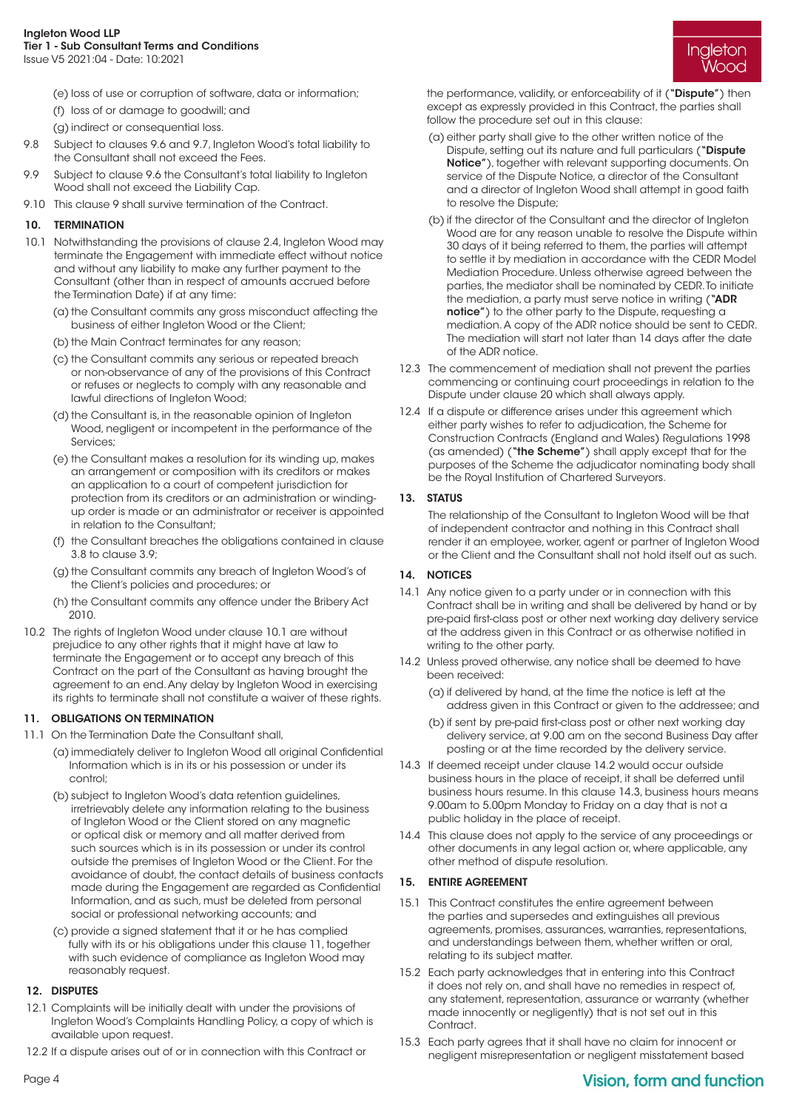Ingleton Wooc

- (e) loss of use or corruption of software, data or information;
- (f) loss of or damage to goodwill; and
- (g) indirect or consequential loss.
- 9.8 Subject to clauses 9.6 and 9.7, Ingleton Wood's total liability to the Consultant shall not exceed the Fees.
- 9.9 Subject to clause 9.6 the Consultant's total liability to Ingleton Wood shall not exceed the Liability Cap.
- 9.10 This clause 9 shall survive termination of the Contract.

## 10. TERMINATION

- 10.1 Notwithstanding the provisions of clause 2.4, Ingleton Wood may terminate the Engagement with immediate effect without notice and without any liability to make any further payment to the Consultant (other than in respect of amounts accrued before the Termination Date) if at any time:
	- (a) the Consultant commits any gross misconduct affecting the business of either Ingleton Wood or the Client;
	- (b) the Main Contract terminates for any reason;
	- (c) the Consultant commits any serious or repeated breach or non-observance of any of the provisions of this Contract or refuses or neglects to comply with any reasonable and lawful directions of Ingleton Wood;
	- (d) the Consultant is, in the reasonable opinion of Ingleton Wood, negligent or incompetent in the performance of the Services;
	- (e) the Consultant makes a resolution for its winding up, makes an arrangement or composition with its creditors or makes an application to a court of competent jurisdiction for protection from its creditors or an administration or windingup order is made or an administrator or receiver is appointed in relation to the Consultant;
	- (f) the Consultant breaches the obligations contained in clause 3.8 to clause 3.9;
	- (g) the Consultant commits any breach of Ingleton Wood's of the Client's policies and procedures; or
	- (h) the Consultant commits any offence under the Bribery Act 2010.
- 10.2 The rights of Ingleton Wood under clause 10.1 are without prejudice to any other rights that it might have at law to terminate the Engagement or to accept any breach of this Contract on the part of the Consultant as having brought the agreement to an end. Any delay by Ingleton Wood in exercising its rights to terminate shall not constitute a waiver of these rights.

## 11. OBLIGATIONS ON TERMINATION

- 11.1 On the Termination Date the Consultant shall,
	- (a) immediately deliver to Ingleton Wood all original Confidential Information which is in its or his possession or under its control;
	- (b) subject to Ingleton Wood's data retention guidelines, irretrievably delete any information relating to the business of Ingleton Wood or the Client stored on any magnetic or optical disk or memory and all matter derived from such sources which is in its possession or under its control outside the premises of Ingleton Wood or the Client. For the avoidance of doubt, the contact details of business contacts made during the Engagement are regarded as Confidential Information, and as such, must be deleted from personal social or professional networking accounts; and
	- (c) provide a signed statement that it or he has complied fully with its or his obligations under this clause 11, together with such evidence of compliance as Ingleton Wood may reasonably request.

### 12. DISPUTES

- 12.1 Complaints will be initially dealt with under the provisions of Ingleton Wood's Complaints Handling Policy, a copy of which is available upon request.
- 12.2 If a dispute arises out of or in connection with this Contract or

the performance, validity, or enforceability of it ("Dispute") then except as expressly provided in this Contract, the parties shall follow the procedure set out in this clause:

- (a) either party shall give to the other written notice of the Dispute, setting out its nature and full particulars ("Dispute Notice"), together with relevant supporting documents. On service of the Dispute Notice, a director of the Consultant and a director of Ingleton Wood shall attempt in good faith to resolve the Dispute;
- (b) if the director of the Consultant and the director of Ingleton Wood are for any reason unable to resolve the Dispute within 30 days of it being referred to them, the parties will attempt to settle it by mediation in accordance with the CEDR Model Mediation Procedure. Unless otherwise agreed between the parties, the mediator shall be nominated by CEDR. To initiate the mediation, a party must serve notice in writing ("ADR notice") to the other party to the Dispute, requesting a mediation. A copy of the ADR notice should be sent to CEDR. The mediation will start not later than 14 days after the date of the ADR notice.
- 12.3 The commencement of mediation shall not prevent the parties commencing or continuing court proceedings in relation to the Dispute under clause 20 which shall always apply.
- 12.4 If a dispute or difference arises under this agreement which either party wishes to refer to adjudication, the Scheme for Construction Contracts (England and Wales) Regulations 1998 (as amended) ("the Scheme") shall apply except that for the purposes of the Scheme the adjudicator nominating body shall be the Royal Institution of Chartered Surveyors.

## 13. STATUS

The relationship of the Consultant to Ingleton Wood will be that of independent contractor and nothing in this Contract shall render it an employee, worker, agent or partner of Ingleton Wood or the Client and the Consultant shall not hold itself out as such.

## 14. NOTICES

- 14.1 Any notice given to a party under or in connection with this Contract shall be in writing and shall be delivered by hand or by pre-paid first-class post or other next working day delivery service at the address given in this Contract or as otherwise notified in writing to the other party.
- 14.2 Unless proved otherwise, any notice shall be deemed to have been received:
	- (a) if delivered by hand, at the time the notice is left at the address given in this Contract or given to the addressee; and
	- (b) if sent by pre-paid first-class post or other next working day delivery service, at 9.00 am on the second Business Day after posting or at the time recorded by the delivery service.
- 14.3 If deemed receipt under clause 14.2 would occur outside business hours in the place of receipt, it shall be deferred until business hours resume. In this clause 14.3, business hours means 9.00am to 5.00pm Monday to Friday on a day that is not a public holiday in the place of receipt.
- 14.4 This clause does not apply to the service of any proceedings or other documents in any legal action or, where applicable, any other method of dispute resolution.

### 15. ENTIRE AGREEMENT

- 15.1 This Contract constitutes the entire agreement between the parties and supersedes and extinguishes all previous agreements, promises, assurances, warranties, representations, and understandings between them, whether written or oral, relating to its subject matter.
- 15.2 Each party acknowledges that in entering into this Contract it does not rely on, and shall have no remedies in respect of, any statement, representation, assurance or warranty (whether made innocently or negligently) that is not set out in this Contract.
- 15.3 Each party agrees that it shall have no claim for innocent or negligent misrepresentation or negligent misstatement based